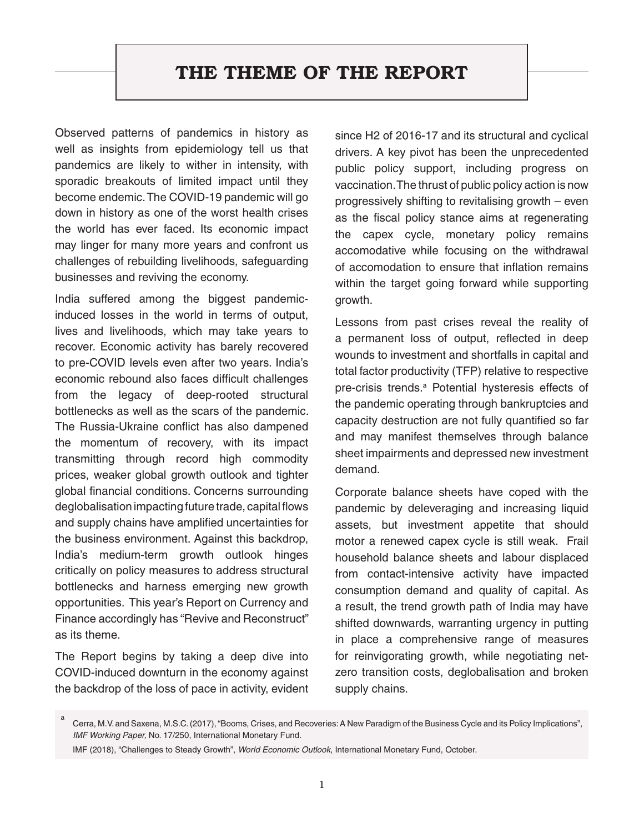## THE THEME OF THE REPORT

Observed patterns of pandemics in history as well as insights from epidemiology tell us that pandemics are likely to wither in intensity, with sporadic breakouts of limited impact until they become endemic. The COVID-19 pandemic will go down in history as one of the worst health crises the world has ever faced. Its economic impact may linger for many more years and confront us challenges of rebuilding livelihoods, safeguarding businesses and reviving the economy.

India suffered among the biggest pandemicinduced losses in the world in terms of output, lives and livelihoods, which may take years to recover. Economic activity has barely recovered to pre-COVID levels even after two years. India's economic rebound also faces difficult challenges from the legacy of deep-rooted structural bottlenecks as well as the scars of the pandemic. The Russia-Ukraine conflict has also dampened the momentum of recovery, with its impact transmitting through record high commodity prices, weaker global growth outlook and tighter global financial conditions. Concerns surrounding deglobalisation impacting future trade, capital flows and supply chains have amplified uncertainties for the business environment. Against this backdrop, India's medium-term growth outlook hinges critically on policy measures to address structural bottlenecks and harness emerging new growth opportunities. This year's Report on Currency and Finance accordingly has "Revive and Reconstruct" as its theme.

The Report begins by taking a deep dive into COVID-induced downturn in the economy against the backdrop of the loss of pace in activity, evident since H2 of 2016-17 and its structural and cyclical drivers. A key pivot has been the unprecedented public policy support, including progress on vaccination. The thrust of public policy action is now progressively shifting to revitalising growth – even as the fiscal policy stance aims at regenerating the capex cycle, monetary policy remains accomodative while focusing on the withdrawal of accomodation to ensure that inflation remains within the target going forward while supporting growth.

Lessons from past crises reveal the reality of a permanent loss of output, reflected in deep wounds to investment and shortfalls in capital and total factor productivity (TFP) relative to respective pre-crisis trends.<sup>a</sup> Potential hysteresis effects of the pandemic operating through bankruptcies and capacity destruction are not fully quantified so far and may manifest themselves through balance sheet impairments and depressed new investment demand.

Corporate balance sheets have coped with the pandemic by deleveraging and increasing liquid assets, but investment appetite that should motor a renewed capex cycle is still weak. Frail household balance sheets and labour displaced from contact-intensive activity have impacted consumption demand and quality of capital. As a result, the trend growth path of India may have shifted downwards, warranting urgency in putting in place a comprehensive range of measures for reinvigorating growth, while negotiating netzero transition costs, deglobalisation and broken supply chains.

a Cerra, M.V. and Saxena, M.S.C. (2017), "Booms, Crises, and Recoveries: A New Paradigm of the Business Cycle and its Policy Implications", IMF Working Paper, No. 17/250, International Monetary Fund.

IMF (2018), "Challenges to Steady Growth", World Economic Outlook, International Monetary Fund, October.